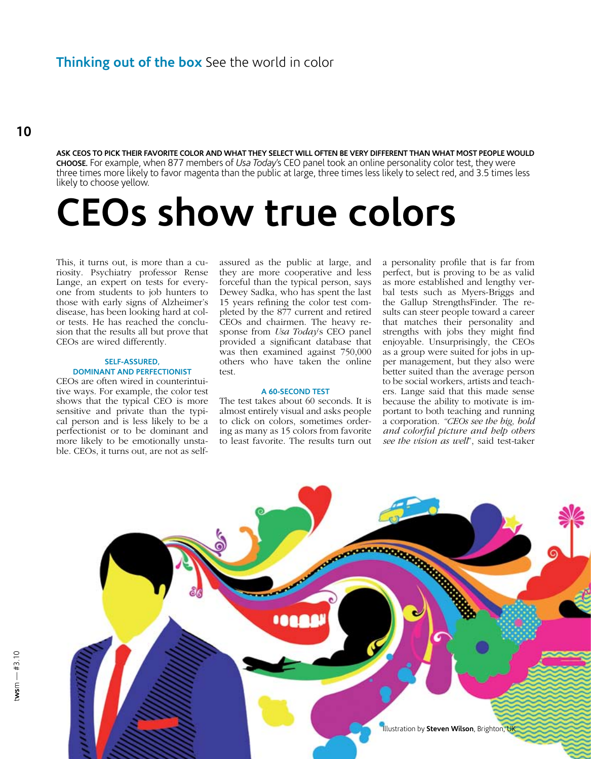### **Ask CEOs to pick their favorite color and what they select will often be very different than what most people would Choose.** For example, when 877 members of *Usa Today*'s CEO panel took an online personality color test, they were three times more likely to favor magenta than the public at large, three times less likely to select red, and 3.5 times less likely to choose yellow.

# **CEOs show true colors**

This, it turns out, is more than a curiosity. Psychiatry professor Rense Lange, an expert on tests for everyone from students to job hunters to those with early signs of Alzheimer's disease, has been looking hard at color tests. He has reached the conclusion that the results all but prove that CEOs are wired differently.

## **Self-assured, dominant and perfectionist**

CEOs are often wired in counterintuitive ways. For example, the color test shows that the typical CEO is more sensitive and private than the typical person and is less likely to be a perfectionist or to be dominant and more likely to be emotionally unstable. CEOs, it turns out, are not as selfassured as the public at large, and they are more cooperative and less forceful than the typical person, says Dewey Sadka, who has spent the last 15 years refining the color test completed by the 877 current and retired CEOs and chairmen. The heavy response from *Usa Today*'s CEO panel provided a significant database that was then examined against 750,000 others who have taken the online test.

# **A 60-second test**

The test takes about 60 seconds. It is almost entirely visual and asks people to click on colors, sometimes ordering as many as 15 colors from favorite to least favorite. The results turn out

a personality profile that is far from perfect, but is proving to be as valid as more established and lengthy verbal tests such as Myers-Briggs and the Gallup StrengthsFinder. The results can steer people toward a career that matches their personality and strengths with jobs they might find enjoyable. Unsurprisingly, the CEOs as a group were suited for jobs in upper management, but they also were better suited than the average person to be social workers, artists and teachers. Lange said that this made sense because the ability to motivate is important to both teaching and running a corporation. *"CEOs see the big, bold and colorful picture and help others see the vision as well*", said test-taker